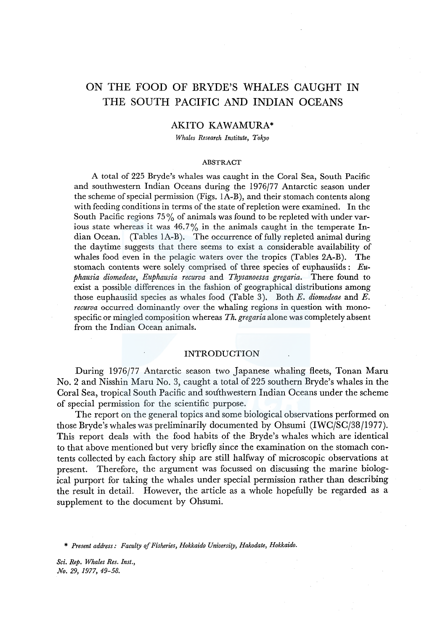# ON THE FOOD OF BRYDE'S WHALES CAUGHT IN THE SOUTH PACIFIC AND INDIAN OCEANS

# AKITO KAWAMURA\*

*Whales Research Institute, Tokyo* 

#### ABSTRACT

A total of 225 Bryde's whales was caught in the Coral Sea, South Pacific and southwestern Indian Oceans during the 1976/77 Antarctic season under the scheme of special permission (Figs. lA-B), and their stomach contents along with feeding conditions in terms of the state of repletion were examined. In the South Pacific regions 75% of animals was found to be repleted with under various state whereas it was  $46.7\%$  in the animals caught in the temperate Indian Ocean. (Tables lA-B). The occurrence of fully repleted animal during the daytime suggests that there seems to exist a considerable availability of whales food even in the pelagic waters over the tropics (Tables 2A-B). The stomach contents were solely comprised of three species of euphausiids : *Euphausia diomedeae, Euphausia recurva* and *Thysanoessa gregaria.* There found to exist a possible differences in the fashion of geographical distributions among those euphausiid species as whales food (Table 3). Both *E. diomedeae* and *E. recurva* occurred dominantly over the whaling regions in question with monospecific or mingled composition whereas *Th. gregaria* alone was completely absent from the Indian Ocean animals.

## INTRODUCTION

During 1976/77 Antarctic season two Japanese whaling fleets, Tonan Maru No. 2 and Nisshin Maru No. 3, caught a total of 225 southern Bryde's whales in the Coral Sea, tropical South Pacific and southwestern Indian Oceans under the scheme of special permission for the scientific purpose.

The report on the general topics and some biological observations performed on those Bryde's whales was preliminarily documented by Ohsumi (IWC/SC/38/1977). This report deals with the food habits of the Bryde's whales which are identical to that above mentioned but very briefly since the examination on the stomach contents collected by each factory ship are still halfway of microscopic observations at present. Therefore, the argument was focussed on discussing the marine biological purport for taking the whales under special permission rather than describing the result in detail. However, the article as a whole hopefully be regarded as a supplement to the document by Ohsumi.

\* *Present address: Faculty of Fisheries, Hokkaido University, Hakodate, Hokkaido.*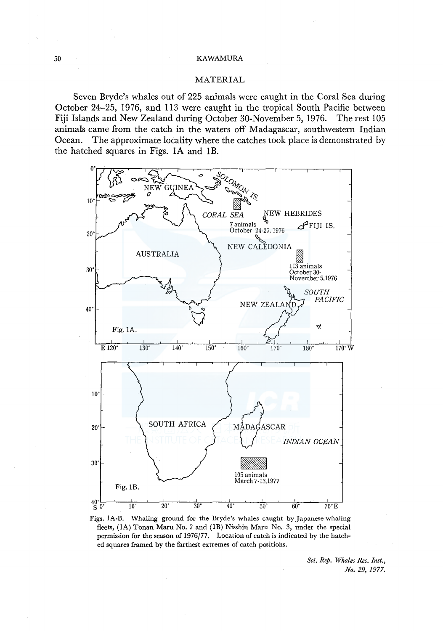# MATERIAL

Seven Bryde's whales out of 225 animals were caught in the Coral Sea during October 24-25, 1976, and 113 were caught in the tropical South Pacific between Fiji Islands and New Zealand during October 30-November 5, 1976. The rest 105 animals came from the catch in the waters off Madagascar, southwestern Indian Ocean. The approximate locality where the catches took place is demonstrated by the hatched squares in Figs. IA and lB.



Figs. IA-B. Whaling ground for the Bryde's whales caught by Japanese whaling fleets, (IA) Tonan Maru No. 2 and (lB) Nisshin Maru No. 3, under the special permission for the season of 1976/77. Location of catch is indicated by the hatched squares framed by the farthest extremes of catch positions.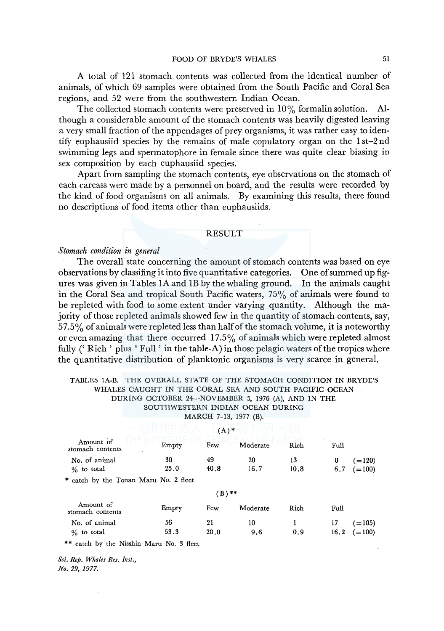A total of 121 stomach contents was collected from the identical number of animals, of which 69 samples were obtained from the South Pacific and Coral Sea regions, and 52 were from the southwestern Indian Ocean.

The collected stomach contents were preserved in  $10\%$  formalin solution. Although a considerable amount of the stomach contents was heavily digested leaving a very small fraction of the appendages of prey organisms, it was rather easy to identify euphausiid species by the remains of male copulatory organ on the 1 st-2 nd swimming legs and spermatophore in female since there was quite clear biasing in sex composition by each euphausiid species.

Apart from sampling the stomach contents, eye observations on the stomach of each carcass were made by a personnel on board, and the results were recorded by the kind of food organisms on all animals. By examining this results, there found no descriptions of food items other than euphausiids.

### RESULT

## *Stomach condition in general*

The overall state concerning the amount of stomach contents was based on eye observations by classifing it into five quantitative categories. One of summed up figures was given in Tables IA and lB by the whaling ground. In the animals caught in the Coral Sea and tropical South Pacific waters, 75% of animals were found to be repleted with food to some extent under varying quantity. Although the majority of those repleted animals showed few in the quantity of stomach contents, say,  $57.5\%$  of animals were repleted less than half of the stomach volume, it is noteworthy or even amazing that there occurred 17 .5% of animals which were repleted almost fully ( $^{\circ}$  Rich' plus  $^{\circ}$  Full  $^{\circ}$  in the table-A) in those pelagic waters of the tropics where the quantitative distribution of planktonic organisms is very scarce in general.

### TABLES lA-B. THE OVERALL STATE OF THE STOMACH CONDITION IN BRYDE'S WHALES CAUGHT IN THE CORAL SEA AND SOUTH PACIFIC OCEAN DURING OCTOBER 24-NOVEMBER 5, 1976 (A), AND IN THE SOUTHWESTERN INDIAN OCEAN DURING

MARCH 7-13, 1977 (B).

 $\Box \to \in \mathscr{C}$ 

|                                       |       | $(A)$ *  |          |      |      |          |
|---------------------------------------|-------|----------|----------|------|------|----------|
| Amount of<br>stomach contents         | Empty | Few      | Moderate | Rich | Full |          |
| No. of animal                         | 30    | 49       | 20       | 13   | 8    | $(=120)$ |
| $\%$ to total                         | 25.0  | 40.8     | 16.7     | 10.8 | 6.7  | $(=100)$ |
| * catch by the Tonan Maru No. 2 fleet |       |          |          |      |      |          |
|                                       |       | $(B)$ ** |          |      |      |          |
| Amount of<br>stomach contents         | Empty | Few      | Moderate | Rich | Full |          |
| No. of animal                         | 56    | 21       | 10       |      | 17   | $(=105)$ |
| $\%$ to total                         | 53.3  | 20.0     | 9.6      | 0.9  | 16.2 | $=100$   |

\*\* catch by the Nisshin Maru No. 3 fleet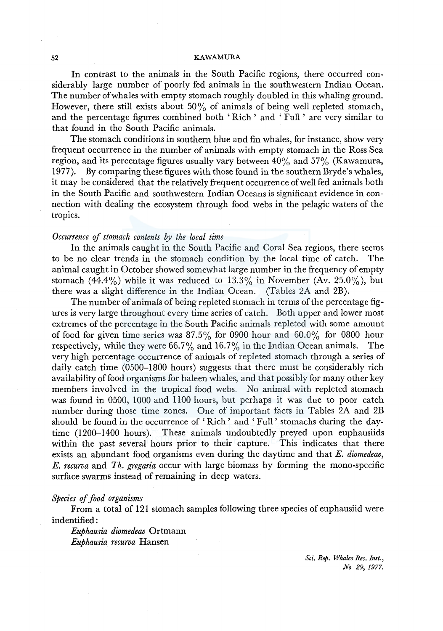In contrast to the animals in the South Pacific regions, there occurred considerably large number of poorly fed animals in the southwestern Indian Ocean. The number of whales with empty stomach roughly doubled in this whaling ground. However, there still exists about 50% of animals of being well repleted stomach, and the percentage figures combined both ' Rich ' and ' Full ' are very similar to that found in the South Pacific animals.

The stomach conditions in southern blue and fin whales, for instance, show very frequent occurrence in the number of animals with empty stomach in the Ross Sea region, and its percentage figures usually vary between  $40\%$  and  $57\%$  (Kawamura, 1977). By comparing these figures with those found in the southern Bryde's whales, it may be considered that the relatively frequent occurrence of well fed animals both in the South Pacific and southwestern Indian Oceans is significant evidence in connection with dealing the ecosystem through food webs in the pelagic waters of the tropics.

## *Occurrence of stomach contents by the local time*

In the animals caught in the South Pacific and Coral Sea regions, there seems to be no clear trends in the stomach condition by the local time of catch. The animal caught in October showed somewhat large number in the frequency of empty stomach (44.4%) while it was reduced to  $13.3\%$  in November (Av. 25.0%), but there was a slight difference in the Indian Ocean. (Tables 2A and 2B).

The number of animals of being repleted stomach in terms of the percentage figures is very large throughout every time series of catch. Both upper and lower most extremes of the percentage in the South Pacific animals repleted with some amount of food for given time series was 87.5% for 0900 hour and 60.0% for 0800 hour respectively, while they were 66.7% and 16.7% in the Indian Ocean animals. The very high percentage occurrence of animals of repleted stomach through a series of daily catch time (0500-1800 hours) suggests that there must be considerably rich availability of food organisms for baleen whales, and that possibly for many other key members involved in the tropical food webs. No animal with repleted stomach was found in 0500, 1000 and 1100 hours, but perhaps it was due to poor catch number during those time zones. One of important facts in Tables 2A and 2B should be found in the occurrence of ' Rich ' and ' Full ' stomachs during the daytime (1200-1400 hours). These animals undoubtedly preyed upon euphausiids within the past several hours prior to their capture. This indicates that there exists an abundant food organisms even during the daytime and that *E. diomedeae, E. recurva* and *Th. gregaria* occur with large biomass by forming the mono-specific surface swarms instead of remaining in deep waters.

#### *Species* ef *food organisms*

From a total of 121 stomach samples following three species of euphausiid were indentified:

*Euphausia diomedeae* Ortmann *Euphausia recurva* Hansen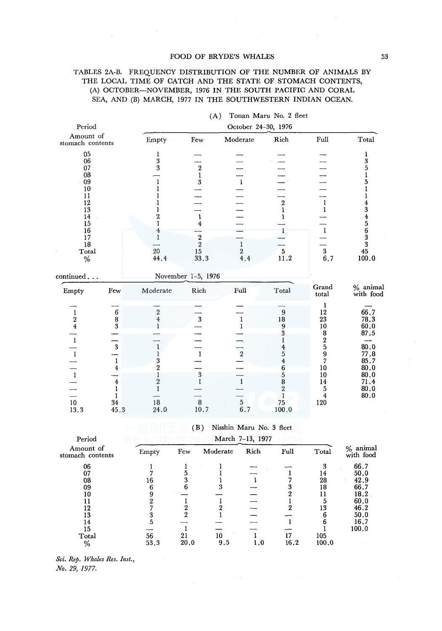#### FOOD OF BRYDE'S WHALES 53

### TABLES 2A-B. FREQUENCY DISTRIBUTION OF THE NUMBER OF ANIMALS BY THE LOCAL TIME OF CATCH AND THE STATE OF STOMACH CONTENTS, (A) OCTOBER-NOVEMBER, 1976 IN THE SOUTH PACIFIC AND CORAL SEA, AND (B) MARCH, 1977 IN THE SOUTHWESTERN INDIAN OCEAN.

| Period                                                                                                       |                                                                         |                                                                                                         | October 24-30, 1976                                                                             |                                                                                          |                                                                                                                  |                                                                                              |                                                                                                                                    |  |
|--------------------------------------------------------------------------------------------------------------|-------------------------------------------------------------------------|---------------------------------------------------------------------------------------------------------|-------------------------------------------------------------------------------------------------|------------------------------------------------------------------------------------------|------------------------------------------------------------------------------------------------------------------|----------------------------------------------------------------------------------------------|------------------------------------------------------------------------------------------------------------------------------------|--|
| Amount of<br>stomach contents                                                                                |                                                                         | Empty                                                                                                   | Few.                                                                                            | Moderate                                                                                 | Rich                                                                                                             | Full                                                                                         | Total                                                                                                                              |  |
| $05\,$<br>06<br>07<br>08<br>$-09$<br>10<br>11<br>12<br>13<br>14<br>15<br>16<br>17<br>18<br>Total<br>$\%$     |                                                                         | ı<br>3<br>3<br>$\,2\,$<br>4<br>20<br>44.4                                                               | $\begin{smallmatrix}2\1\3\end{smallmatrix}$<br>$\mathbf{I}$<br>4<br>$\frac{2}{2}$<br>15<br>33.3 | $\mathbf{1}$<br>1<br>$\frac{2}{4.4}$                                                     | $\boldsymbol{2}$<br>1<br>ı<br>$\sqrt{5}$<br>11.2                                                                 | 1<br>ı<br>$\frac{3}{6}$ , 7                                                                  | 1<br>3<br>5<br>5<br>$\frac{4}{3}$<br>$\begin{array}{c} 4 \\ 5 \\ 6 \\ 3 \end{array}$<br>$\overline{\mathbf{3}}$<br>$45\,$<br>100.0 |  |
| $\mathop{\mathrm{continued}}\dots$                                                                           |                                                                         |                                                                                                         | November 1-5, 1976                                                                              |                                                                                          |                                                                                                                  |                                                                                              |                                                                                                                                    |  |
| Empty                                                                                                        | Few                                                                     | Moderate                                                                                                | Rich                                                                                            | Full                                                                                     | Total                                                                                                            | Grand<br>total                                                                               | $\%$ animal with food                                                                                                              |  |
| $\frac{1}{2}$<br>$\mathbf{I}$<br>$\mathbf{1}$<br>$\overline{1}$<br>$\begin{array}{c} 10 \\ 13.3 \end{array}$ | $6\phantom{1}6$<br>$\bf{8}$<br>3<br>3<br>1<br>4<br>4<br>L<br>34<br>45.3 | $\,2\,$<br>4<br>3<br>$\overline{2}$<br>$\overline{2}$<br>1<br>$\begin{array}{c} 18 \\ 24.0 \end{array}$ | $\bf{3}$<br>$\mathbf{1}$<br>$\frac{3}{1}$<br>$\begin{smallmatrix} 8\\10.7\end{smallmatrix}$     | $\mathbf 1$<br>$\overline{2}$<br>$\mathbf{1}$<br>$\begin{array}{c} 5 \\ 6.7 \end{array}$ | $\boldsymbol{9}$<br>18<br>9<br>3<br>4<br>5<br>4<br>6<br>5<br>8<br>$\overline{2}$<br>$\,1$<br>$\frac{75}{100}$ .0 | 1<br>12<br>23<br>10<br>8<br>$\overline{2}$<br>5<br>9<br>7<br>10<br>10<br>14<br>5<br>4<br>120 | 66.7<br>78.3<br>60.0<br>87.5<br>80.0<br>77.8<br>85.7<br>80.0<br>80.0<br>71.4<br>80.0<br>80.0                                       |  |

|  | (A) Tonan Maru No. 2 fleet |  |  |
|--|----------------------------|--|--|
|  |                            |  |  |

# (B) Nisshin Maru No. 3 fleet

Period **THE INSTITUTE OF CEMarch 7-13, 1977** ARCH

| Amount of<br>stomach contents | Empty | Few  | Moderate | Rich    | Full | Total | % animal<br>with food |
|-------------------------------|-------|------|----------|---------|------|-------|-----------------------|
| 06                            |       |      |          |         |      |       | 66.7                  |
| 07                            |       |      |          |         |      | 14    | 50.0                  |
| 08                            | 16    |      |          |         |      | 28    | 42.9                  |
| 09                            |       |      |          |         |      | 18    | 66.7                  |
| 10                            |       |      |          |         |      |       | 18.2                  |
|                               |       |      |          |         |      |       | 60.0                  |
| 12                            |       |      |          |         |      | 13    | 46.2                  |
| 13                            |       |      |          |         |      |       | 50.0                  |
| 14                            |       |      |          |         |      |       | 16.7                  |
| 15                            |       |      |          |         |      |       | 100.0                 |
| Total                         | 56    | 21   | 10       |         | 17   | 105   |                       |
| $\%$                          | 53,3  | 20,0 | 9.5      | $1.0\,$ | 16.2 | 100.0 |                       |
|                               |       |      |          |         |      |       |                       |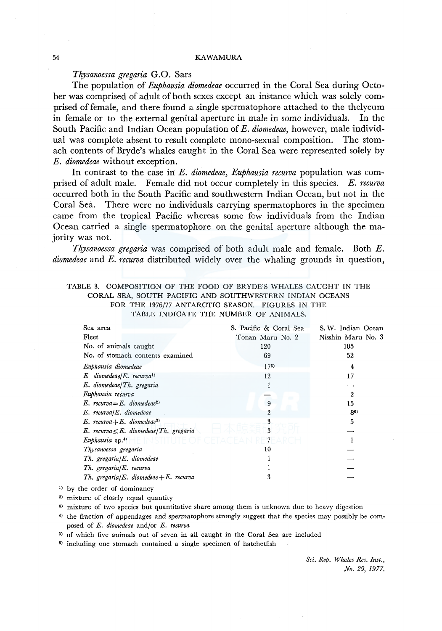# *Tlrysanoessa gregaria* G.0. Sars

The population of *Euphausia diomedeae* occurred in the Coral Sea during October was comprised of adult of both sexes except an instance which was solely comprised of female, and there found a single spermatophore attached to the thelycum in female or to the external genital aperture in male in some individuals. In the South Pacific and Indian Ocean population of *E. diomedeae,* however, male individual was complete absent to result complete mono-sexual composition. The stomach contents of Bryde's whales caught in the Coral Sea were represented solely by *E. diomedeae* without exception.

In contrast to the case in *E. diomedeae, Euphausia recurva* population was comprised of adult male. Female did not occur completely in this species. *E. recurva*  occurred both in the South Pacific and southwestern Indian Ocean, but not in the Coral Sea. There were no individuals carrying spermatophores in the specimen came from the tropical Pacific whereas some few individuals from the Indian Ocean carried a single spermatophore on the genital aperture although the majority was not.

*Thysanoessa gregaria* was comprised of both adult male and female. Both *E. diomedeae* and *E. recurva* distributed widely over the whaling grounds in question,

### TABLE 3. COMPOSITION OF THE FOOD OF BRYDE'S WHALES CAUGHT IN THE CORAL SEA, SOUTH PACIFIC AND SOUTHWESTERN INDIAN OCEANS FOR THE 1976/77 ANTARCTIC SEASON. FIGURES IN THE TABLE INDICATE THE NUMBER OF ANIMALS.

| Sea area                                     | S. Pacific & Coral Sea | S. W. Indian Ocean |
|----------------------------------------------|------------------------|--------------------|
| Fleet                                        | Tonan Maru No. 2       | Nisshin Maru No. 3 |
| No. of animals caught                        | 120                    | 105                |
| No. of stomach contents examined             | 69                     | 52                 |
| Euphausia diomedeae                          | $17^{5}$               | 4                  |
| $E$ diomedeae/E. recurva <sup>1)</sup>       | 12                     | 17                 |
| E. diomedeae/Th. gregaria                    |                        |                    |
| Euphausia recurva                            |                        | 2                  |
| E. recurva = E. diomedeae <sup>2)</sup>      | 9                      | 15                 |
| $E.$ recurva/ $E.$ diomedeae                 | 2                      | 86)                |
| $E.$ recurva + E. diomedeae <sup>3)</sup>    | 3                      | 5                  |
| E. recurva $\leq E$ . diomedeae/Th. gregaria | 3                      |                    |
| Euphausia sp. $4$                            | 7                      |                    |
| Thysanoessa gregaria                         | 10                     |                    |
| Th. gregaria/E. diomedeae                    |                        |                    |
| Th. gregaria/E. recurva                      |                        |                    |
| Th. gregaria/E. diomedeae + E. recurva       | 3                      |                    |
|                                              |                        |                    |

<sup>1)</sup> by the order of dominancy

<sup>2)</sup> mixture of closely equal quantity

<sup>3)</sup> mixture of two species but quantitative share among them is unknown due to heavy digestion

<sup>4)</sup> the fraction of appendages and spermatophore strongly suggest that the species may possibly be composed of *E. diomedeae* and/or *E. recurva* 

<sup>5)</sup> of which five animals out of seven in all caught in the Coral Sea are included

 $6$ ) including one stomach contained a single specimen of hatchetfish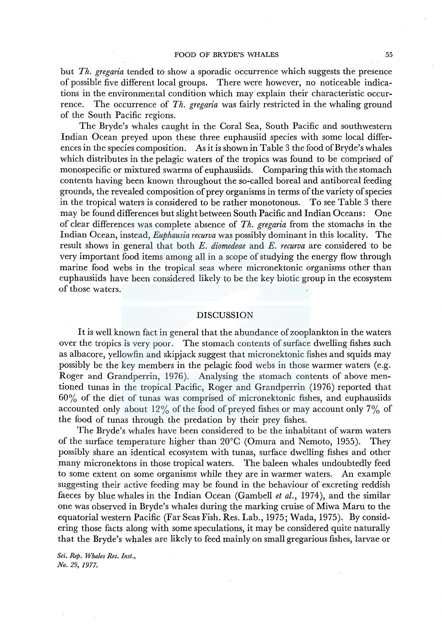but *Th. gregaria* tended to show a sporadic occurrence which suggests the presence of possible five different local groups. There were however, no noticeable indications in the environmental condition which may explain their characteristic occurrence. The occurrence of *Th. gregaria* was fairly restricted in the whaling ground of the South Pacific regions.

The Bryde's whales caught in the Coral Sea, South Pacific and southwestern Indian Ocean preyed upon these three euphausiid species with some local differences in the species composition. As it is shown in Table 3 the food of Bryde's whales which distributes in the pelagic waters of the tropics was found to be comprised of monospecific or mixtured swarms of euphausiids. Comparing this with the stomach contents having been known throughout the so-called boreal and antiboreal feeding grounds, the revealed composition of prey organisms in terms of the variety of species in the tropical waters is considered to be rather monotonous. To see Table 3 there may be found differences but slight between South Pacific and Indian Oceans: One of clear differences was complete absence of *Th. gregaria* from the stomachs in the Indian Ocean, instead, *Euphausia recurva* was possibly dominant in this locality. The result shows in general that both *E. diomedeae* and *E. recurva* are considered to be very important food items among all in a scope of studying the energy flow through marine food webs in the tropical seas where micronektonic organisms other than euphausiids have been considered likely to be the key biotic group in the ecosystem of those waters.

#### DISCUSSION

It is well known fact in general that the abundance of zooplankton in the waters over the tropics is very poor. The stomach contents of surface dwelling fishes such as albacore, yellowfin and skipjack suggest that micronektonic fishes and squids may possibly be the key members in the pelagic food webs in those warmer waters (e.g. Roger and Grandperrin, 1976). Analysing the stomach contents of above mentioned tunas in the tropical Pacific, Roger and Grandperrin (1976) reported that  $60\%$  of the diet of tunas was comprised of micronektonic fishes, and euphausiids accounted only about 12% of the food of preyed fishes or may account only  $7\%$  of the food of tunas through the predation by their prey fishes.

The Bryde's whales have been considered to be the inhabitant of warm waters of the surface temperature higher than 20°C (Omura and Nemoto, 1955). They possibly share an identical ecosystem with tunas, surface dwelling fishes and other many micronektons in those tropical waters. The baleen whales undoubtedly feed to some extent on some organisms while they are in warmer waters. An example suggesting their active feeding may be found in the behaviour of excreting reddish faeces by blue whales in the Indian Ocean (Gambell *et al.,* 1974), and the similar one was observed in Bryde's whales during the marking cruise of Miwa Maru to the equatorial western Pacific (Far Seas Fish. Res. Lab., 1975; Wada, 1975). By considering those facts along with some speculations, it may be considered quite naturally that the Bryde's whales are likely to feed mainly on small gregarious fishes, larvae or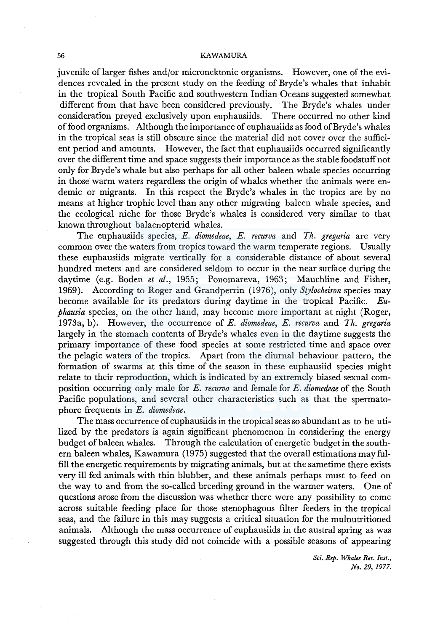juvenile oflarger fishes and/or micronektonic organisms. However, one of the evidences revealed in the present study on the feeding of Bryde's whales that inhabit in the tropical South Pacific and southwestern Indian Oceans suggested somewhat different from that have been considered previously. The Bryde's whales under consideration preyed exclusively upon euphausiids. There occurred no other kind of food organisms. Although the importance of euphausiids as food ofBryde's whales in the tropical seas is still obscure since the material did not cover over the sufficient period and amounts. However, the fact that euphausiids occurred significantly over the different time and space suggests their importance as the stable foodstuff not only for Bryde's whale but also perhaps for all other baleen whale species occurring in those warm waters regardless the origin of whales whether the animals were endemic or migrants. In this respect the Bryde's whales in the tropics are by no means at higher trophic level than any other migrating baleen whale species, and the ecological niche for those Bryde's whales is considered very similar to that known throughout balaenopterid whales.

The euphausiids species, *E. diomedeae, E. recurva* and *Th. gregaria* are very common over the waters from tropics toward the warm temperate regions. Usually these euphausiids migrate vertically for a considerable distance of about several hundred meters and are considered seldom to occur in the near surface during the daytime (e.g. Boden *et al.,* 1955; Ponomareva, 1963; Mauchline and Fisher, 1969). According to Roger and Grandperrin (1976), only *Stylocheiron* species may become available for its predators during daytime in the tropical Pacific. *Euphausia* species, on the other hand, may become more important at night (Roger, 1973a, b). However, the occurrence of *E. diomedeae, E. recurva* and *Th. gregaria*  largely in the stomach contents of Bryde's whales even in the daytime suggests the primary importance of these food species at some restricted time and space over the pelagic waters of the tropics. Apart from the diurnal behaviour pattern, the formation of swarms at this time of the season in these euphausiid species might relate to their reproduction, which is indicated by an extremely biased sexual composition occurring only male for *E. recurva* and female for *E. diomedeae* of the South Pacific populations, and several other characteristics such as that the spermatophore frequents in *E. diomedeae.* 

The mass occurrence of euphausiids in the tropical seas so abundant as to be utilized by the predators is again significant phenomenon in considering the energy budget of baleen whales. Through the calculation of energetic budget in the southern baleen whales, Kawamura (1975) suggested that the overall estimations may fulfill the energetic requirements by migrating animals, but at the sametime there exists very ill fed animals with thin blubber, and these animals perhaps must to feed on the way to and from the so-called breeding ground in the warmer waters. One of questions arose from the discussion was whether there were any possibility to come across suitable feeding place for those stenophagous filter feeders in the tropical seas, and the failure in this may suggests a critical situation for the mulnutritioned animals. Although the mass occurrence of euphausiids in the austral spring as was suggested through this study did not coincide with a possible seasons of appearing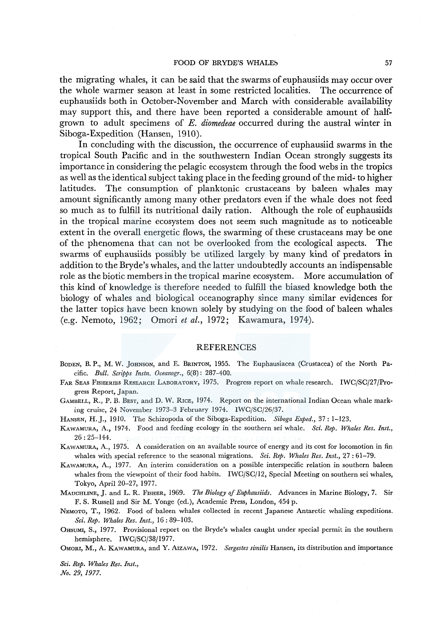### FOOD OF BRYDE'S WHALES 57

the migrating whales, it can be said that the swarms of euphausiids may occur over the whole warmer season at least in some restricted localities. The occurrence of euphausiids both in October-November and March with considerable availability may support this, and there have been reported a considerable amount of halfgrown to adult specimens of *E. diomedeae* occurred during the austral winter in Siboga-Expedition (Hansen, 1910).

In concluding with the discussion, the occurrence of euphausiid swarms in the tropical South Pacific and in the southwestern Indian Ocean strongly suggests its importance in considering the pelagic ecosystem through the food webs in the tropics as well as the identical subject taking place in the feeding ground of the mid~ to higher latitudes. The consumption of planktonic crustaceans by baleen whales may amount significantly among many other predators even if the whale does not feed so much as to fulfill its nutritional daily ration. Although the role of euphausiids in the tropical marine ecosystem does not seem such magnitude as to noticeable extent in the overall energetic flows, the swarming of these crustaceans may be one of the phenomena that can not be overlooked from the ecological aspects. The swarms of euphausiids possibly be utilized largely by many kind of predators in addition to the Bryde's whales, and the latter undoubtedly accounts an indispensable role as the biotic members in the tropical marine ecosystem. More accumulation of this kind of knowledge is therefore needed to fulfill the biased knowledge both the biology of whales and biological oceanography since many similar evidences for the latter topics have been known solely by studying on the food of baleen whales (e.g. Nemoto, 1962; Omori *et al.,* 1972; Kawamura, 1974).

### REFERENCES

- BODEN, B. P., M. W. JoHNSON, and E. BRINTON, 1955. The Euphausiacea (Crustacea) of the North Pacific. *Bull. Scripps Instn. Oceanogr.,* 6(8): 287-400.
- FAR SEAS FISHERIES RESEARCH LABORATORY, 1975. Progress report on whale research. IWC/SC/27/Progress Report, Japan.
- GAMBELL, R., P. B. BEST, and D. W. RICE, 1974. Report on the international Indian Ocean whale marking cruise, 24 November 1973-3 February 1974. IWC/SC/26/37.
- HANSEN, H.J., 1910. The Schizopoda of the Siboga-Expedition. *Siboga Exped.,* 37: 1-123.
- KAWAMURA, A., 1974. Food and feeding ecology in the southern sei whale. *Sci. Rep. Whales Res. Inst.,*  26: 25-144.
- KAWAMURA, A., 1975. A consideration on an available source of energy and its cost for locomotion in fin whales with special reference to the seasonal migrations. *Sci. Rep. Whales Res. Inst.,* 27: 61-79.
- KAWAMURA, A., 1977. An interim consideration on a possible interspecific relation in southern baleen whales from the viewpoint of their food habits. IWC/SC/12, Special Meeting on southern sei whales, Tokyo, April 20-27, 1977.
- MAUCHLINE, J. and L. R. FISHER, 1969. *The Biology of Euphausiids.* Advances in Marine Biology, 7. Sir F. S. Russell and Sir M. Yonge (ed.), Academic Press, London, 454 p.
- NEMOTO, T., 1962. Food of baleen whales collected in recent Japanese Antarctic whaling expeditions. *Sci. Rep. Whales Res. Inst.,* 16: 89-103.
- 0HSUMI, S., 1977. Provisional report on the Bryde's whales caught under special permit in the southern hemisphere. IWC/SC/38/1977.
- 0MORI, M., A. KAWAMURA, and Y. ArzAwA, 1972. *Sergestes similis* Hansen, its distribution and importance